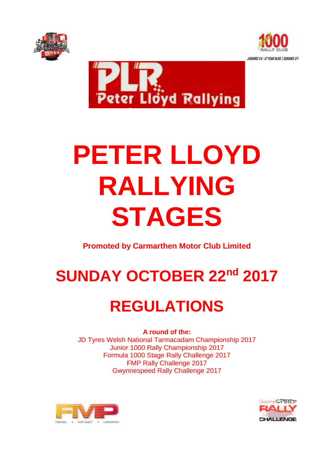





# **PETER LLOYD RALLYING STAGES**

**Promoted by Carmarthen Motor Club Limited**

# SUNDAY OCTOBER 22<sup>nd</sup> 2017

## **REGULATIONS**

**A round of the:**  JD Tyres Welsh National Tarmacadam Championship 2017 Junior 1000 Rally Championship 2017 Formula 1000 Stage Rally Challenge 2017 FMP Rally Challenge 2017 Gwynnespeed Rally Challenge 2017



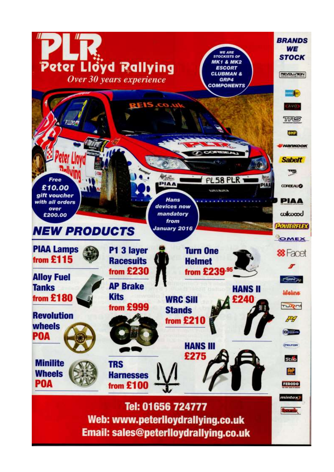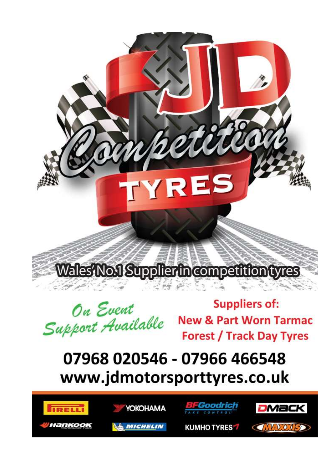Wales'No.1 Supplier the competition tyres

TYRES

On Event Support Available

**Suppliers of: New & Part Worn Tarmac Forest / Track Day Tyres** 

 $v_{\ell}v_{\ell}$ 

### 07968 020546 - 07966 466548 www.jdmotorsporttyres.co.uk





**MICHELIN** 



**KUMHOTYRES7** 

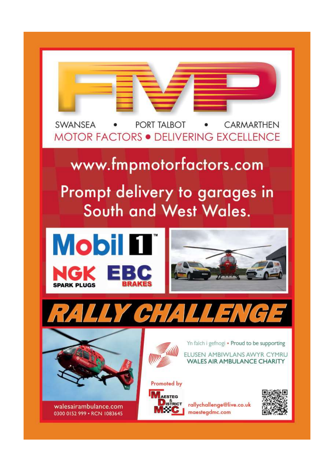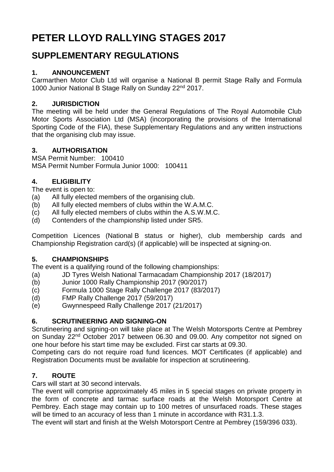### **PETER LLOYD RALLYING STAGES 2017**

### **SUPPLEMENTARY REGULATIONS**

#### **1. ANNOUNCEMENT**

Carmarthen Motor Club Ltd will organise a National B permit Stage Rally and Formula 1000 Junior National B Stage Rally on Sunday 22<sup>nd</sup> 2017.

#### **2. JURISDICTION**

The meeting will be held under the General Regulations of The Royal Automobile Club Motor Sports Association Ltd (MSA) (incorporating the provisions of the International Sporting Code of the FIA), these Supplementary Regulations and any written instructions that the organising club may issue.

#### **3. AUTHORISATION**

MSA Permit Number: 100410 MSA Permit Number Formula Junior 1000: 100411

#### **4. ELIGIBILITY**

The event is open to:

- (a) All fully elected members of the organising club.
- (b) All fully elected members of clubs within the W.A.M.C.
- (c) All fully elected members of clubs within the A.S.W.M.C.
- (d) Contenders of the championship listed under SR5.

Competition Licences (National B status or higher), club membership cards and Championship Registration card(s) (if applicable) will be inspected at signing-on.

#### **5. CHAMPIONSHIPS**

The event is a qualifying round of the following championships:

- (a) JD Tyres Welsh National Tarmacadam Championship 2017 (18/2017)
- (b) Junior 1000 Rally Championship 2017 (90/2017)
- (c) Formula 1000 Stage Rally Challenge 2017 (83/2017)
- (d) FMP Rally Challenge 2017 (59/2017)
- (e) Gwynnespeed Rally Challenge 2017 (21/2017)

#### **6. SCRUTINEERING AND SIGNING-ON**

Scrutineering and signing-on will take place at The Welsh Motorsports Centre at Pembrey on Sunday 22<sup>nd</sup> October 2017 between 06.30 and 09.00. Any competitor not signed on one hour before his start time may be excluded. First car starts at 09.30.

Competing cars do not require road fund licences. MOT Certificates (if applicable) and Registration Documents must be available for inspection at scrutineering.

#### **7. ROUTE**

Cars will start at 30 second intervals.

The event will comprise approximately 45 miles in 5 special stages on private property in the form of concrete and tarmac surface roads at the Welsh Motorsport Centre at Pembrey. Each stage may contain up to 100 metres of unsurfaced roads. These stages will be timed to an accuracy of less than 1 minute in accordance with R31.1.3.

The event will start and finish at the Welsh Motorsport Centre at Pembrey (159/396 033).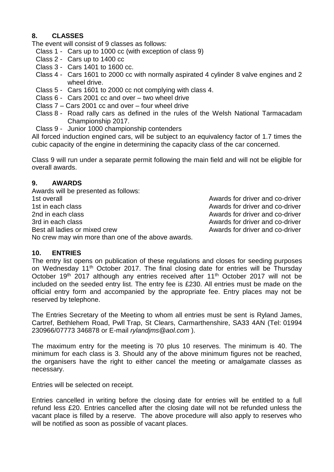#### **8. CLASSES**

The event will consist of 9 classes as follows:

- Class 1 Cars up to 1000 cc (with exception of class 9)
- Class 2 Cars up to 1400 cc
- Class 3 Cars 1401 to 1600 cc.
- Class 4 Cars 1601 to 2000 cc with normally aspirated 4 cylinder 8 valve engines and 2 wheel drive.
- Class 5 Cars 1601 to 2000 cc not complying with class 4.
- Class 6 Cars 2001 cc and over two wheel drive
- Class 7 Cars 2001 cc and over four wheel drive
- Class 8 Road rally cars as defined in the rules of the Welsh National Tarmacadam Championship 2017.
- Class 9 Junior 1000 championship contenders

All forced induction engined cars, will be subject to an equivalency factor of 1.7 times the cubic capacity of the engine in determining the capacity class of the car concerned.

Class 9 will run under a separate permit following the main field and will not be eligible for overall awards.

#### **9. AWARDS**

Awards will be presented as follows: 1st overall Awards for driver and co-driver 1st in each class **Awards** for driver and co-driver 2nd in each class 2nd in the 2nd in the 2nd in the 2nd in the 2nd in the 2nd in the 2nd in the 2nd in the 2nd i 3rd in each class **Awards** for driver and co-driver Best all ladies or mixed crew **Awards** for driver and co-driver

No crew may win more than one of the above awards.

#### **10. ENTRIES**

The entry list opens on publication of these regulations and closes for seeding purposes on Wednesday 11th October 2017. The final closing date for entries will be Thursday October 19<sup>th</sup> 2017 although any entries received after 11<sup>th</sup> October 2017 will not be included on the seeded entry list. The entry fee is £230. All entries must be made on the official entry form and accompanied by the appropriate fee. Entry places may not be reserved by telephone.

The Entries Secretary of the Meeting to whom all entries must be sent is Ryland James, Cartref, Bethlehem Road, Pwll Trap, St Clears, Carmarthenshire, SA33 4AN (Tel: 01994 230966/07773 346878 or E-mail *[rylandjms@aol.com](mailto:rylandjms@aol.com)* ).

The maximum entry for the meeting is 70 plus 10 reserves. The minimum is 40. The minimum for each class is 3. Should any of the above minimum figures not be reached, the organisers have the right to either cancel the meeting or amalgamate classes as necessary.

Entries will be selected on receipt.

Entries cancelled in writing before the closing date for entries will be entitled to a full refund less £20. Entries cancelled after the closing date will not be refunded unless the vacant place is filled by a reserve. The above procedure will also apply to reserves who will be notified as soon as possible of vacant places.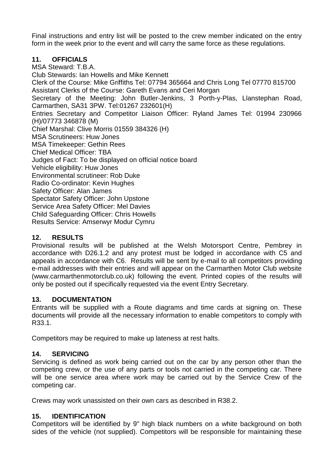Final instructions and entry list will be posted to the crew member indicated on the entry form in the week prior to the event and will carry the same force as these regulations.

#### **11. OFFICIALS**

MSA Steward: T.B.A. Club Stewards: Ian Howells and Mike Kennett Clerk of the Course: Mike Griffiths Tel: 07794 365664 and Chris Long Tel 07770 815700 Assistant Clerks of the Course: Gareth Evans and Ceri Morgan Secretary of the Meeting: John Butler-Jenkins, 3 Porth-y-Plas, Llanstephan Road, Carmarthen, SA31 3PW. Tel:01267 232601(H) Entries Secretary and Competitor Liaison Officer: Ryland James Tel: 01994 230966 (H)/07773 346878 (M) Chief Marshal: Clive Morris 01559 384326 (H) MSA Scrutineers: Huw Jones MSA Timekeeper: Gethin Rees Chief Medical Officer: TBA Judges of Fact: To be displayed on official notice board Vehicle eligibility: Huw Jones Environmental scrutineer: Rob Duke Radio Co-ordinator: Kevin Hughes Safety Officer: Alan James Spectator Safety Officer: John Upstone Service Area Safety Officer: Mel Davies Child Safeguarding Officer: Chris Howells Results Service: Amserwyr Modur Cymru

#### **12. RESULTS**

Provisional results will be published at the Welsh Motorsport Centre, Pembrey in accordance with D26.1.2 and any protest must be lodged in accordance with C5 and appeals in accordance with C6. Results will be sent by e-mail to all competitors providing e-mail addresses with their entries and will appear on the Carmarthen Motor Club website (www.carmarthenmotorclub.co.uk) following the event. Printed copies of the results will only be posted out if specifically requested via the event Entry Secretary.

#### **13. DOCUMENTATION**

Entrants will be supplied with a Route diagrams and time cards at signing on. These documents will provide all the necessary information to enable competitors to comply with R33.1.

Competitors may be required to make up lateness at rest halts.

#### **14. SERVICING**

Servicing is defined as work being carried out on the car by any person other than the competing crew, or the use of any parts or tools not carried in the competing car. There will be one service area where work may be carried out by the Service Crew of the competing car.

Crews may work unassisted on their own cars as described in R38.2.

#### **15. IDENTIFICATION**

Competitors will be identified by 9" high black numbers on a white background on both sides of the vehicle (not supplied). Competitors will be responsible for maintaining these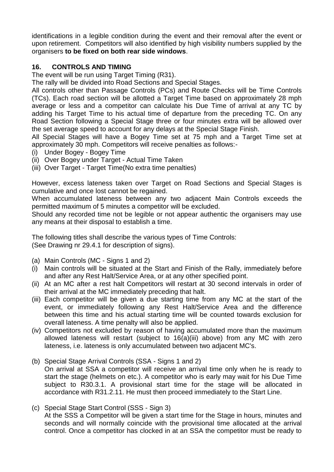identifications in a legible condition during the event and their removal after the event or upon retirement. Competitors will also identified by high visibility numbers supplied by the organisers **to be fixed on both rear side windows**.

#### **16. CONTROLS AND TIMING**

The event will be run using Target Timing (R31).

The rally will be divided into Road Sections and Special Stages.

All controls other than Passage Controls (PCs) and Route Checks will be Time Controls (TCs). Each road section will be allotted a Target Time based on approximately 28 mph average or less and a competitor can calculate his Due Time of arrival at any TC by adding his Target Time to his actual time of departure from the preceding TC. On any Road Section following a Special Stage three or four minutes extra will be allowed over the set average speed to account for any delays at the Special Stage Finish.

All Special Stages will have a Bogey Time set at 75 mph and a Target Time set at approximately 30 mph. Competitors will receive penalties as follows:-

- (i) Under Bogey Bogey Time
- (ii) Over Bogey under Target Actual Time Taken
- (iii) Over Target Target Time(No extra time penalties)

However, excess lateness taken over Target on Road Sections and Special Stages is cumulative and once lost cannot be regained.

When accumulated lateness between any two adjacent Main Controls exceeds the permitted maximum of 5 minutes a competitor will be excluded.

Should any recorded time not be legible or not appear authentic the organisers may use any means at their disposal to establish a time.

The following titles shall describe the various types of Time Controls: (See Drawing nr 29.4.1 for description of signs).

- (a) Main Controls (MC Signs 1 and 2)
- (i) Main controls will be situated at the Start and Finish of the Rally, immediately before and after any Rest Halt/Service Area, or at any other specified point.
- (ii) At an MC after a rest halt Competitors will restart at 30 second intervals in order of their arrival at the MC immediately preceding that halt.
- (iii) Each competitor will be given a due starting time from any MC at the start of the event, or immediately following any Rest Halt/Service Area and the difference between this time and his actual starting time will be counted towards exclusion for overall lateness. A time penalty will also be applied.
- (iv) Competitors not excluded by reason of having accumulated more than the maximum allowed lateness will restart (subject to 16(a)(iii) above) from any MC with zero lateness, i.e. lateness is only accumulated between two adjacent MC's.
- (b) Special Stage Arrival Controls (SSA Signs 1 and 2) On arrival at SSA a competitor will receive an arrival time only when he is ready to start the stage (helmets on etc.). A competitor who is early may wait for his Due Time subject to R30.3.1. A provisional start time for the stage will be allocated in accordance with R31.2.11. He must then proceed immediately to the Start Line.
- (c) Special Stage Start Control (SSS Sign 3) At the SSS a Competitor will be given a start time for the Stage in hours, minutes and seconds and will normally coincide with the provisional time allocated at the arrival control. Once a competitor has clocked in at an SSA the competitor must be ready to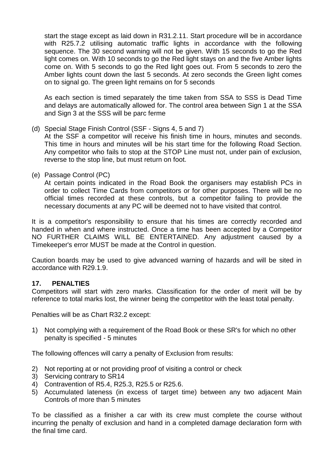start the stage except as laid down in R31.2.11. Start procedure will be in accordance with R25.7.2 utilising automatic traffic lights in accordance with the following sequence. The 30 second warning will not be given. With 15 seconds to go the Red light comes on. With 10 seconds to go the Red light stays on and the five Amber lights come on. With 5 seconds to go the Red light goes out. From 5 seconds to zero the Amber lights count down the last 5 seconds. At zero seconds the Green light comes on to signal go. The green light remains on for 5 seconds

As each section is timed separately the time taken from SSA to SSS is Dead Time and delays are automatically allowed for. The control area between Sign 1 at the SSA and Sign 3 at the SSS will be parc ferme

(d) Special Stage Finish Control (SSF - Signs 4, 5 and 7)

At the SSF a competitor will receive his finish time in hours, minutes and seconds. This time in hours and minutes will be his start time for the following Road Section. Any competitor who fails to stop at the STOP Line must not, under pain of exclusion, reverse to the stop line, but must return on foot.

(e) Passage Control (PC)

At certain points indicated in the Road Book the organisers may establish PCs in order to collect Time Cards from competitors or for other purposes. There will be no official times recorded at these controls, but a competitor failing to provide the necessary documents at any PC will be deemed not to have visited that control.

It is a competitor's responsibility to ensure that his times are correctly recorded and handed in when and where instructed. Once a time has been accepted by a Competitor NO FURTHER CLAIMS WILL BE ENTERTAINED. Any adjustment caused by a Timekeeper's error MUST be made at the Control in question.

Caution boards may be used to give advanced warning of hazards and will be sited in accordance with R29.1.9.

#### **17. PENALTIES**

Competitors will start with zero marks. Classification for the order of merit will be by reference to total marks lost, the winner being the competitor with the least total penalty.

Penalties will be as Chart R32.2 except:

1) Not complying with a requirement of the Road Book or these SR's for which no other penalty is specified - 5 minutes

The following offences will carry a penalty of Exclusion from results:

- 2) Not reporting at or not providing proof of visiting a control or check
- 3) Servicing contrary to SR14
- 4) Contravention of R5.4, R25.3, R25.5 or R25.6.
- 5) Accumulated lateness (in excess of target time) between any two adjacent Main Controls of more than 5 minutes

To be classified as a finisher a car with its crew must complete the course without incurring the penalty of exclusion and hand in a completed damage declaration form with the final time card.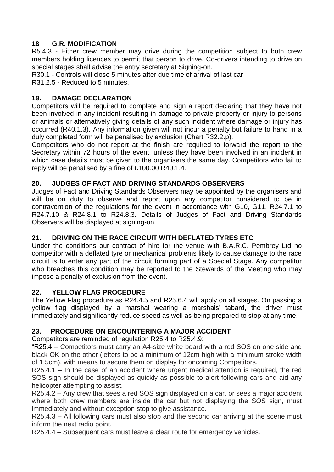#### **18 G.R. MODIFICATION**

R5.4.3 - Either crew member may drive during the competition subject to both crew members holding licences to permit that person to drive. Co-drivers intending to drive on special stages shall advise the entry secretary at Signing-on.

R30.1 - Controls will close 5 minutes after due time of arrival of last car R31.2.5 - Reduced to 5 minutes.

#### **19. DAMAGE DECLARATION**

Competitors will be required to complete and sign a report declaring that they have not been involved in any incident resulting in damage to private property or injury to persons or animals or alternatively giving details of any such incident where damage or injury has occurred (R40.1.3). Any information given will not incur a penalty but failure to hand in a duly completed form will be penalised by exclusion (Chart R32.2.p).

Competitors who do not report at the finish are required to forward the report to the Secretary within 72 hours of the event, unless they have been involved in an incident in which case details must be given to the organisers the same day. Competitors who fail to reply will be penalised by a fine of £100.00 R40.1.4.

#### **20. JUDGES OF FACT AND DRIVING STANDARDS OBSERVERS**

Judges of Fact and Driving Standards Observers may be appointed by the organisers and will be on duty to observe and report upon any competitor considered to be in contravention of the regulations for the event in accordance with G10, G11, R24.7.1 to R24.7.10 & R24.8.1 to R24.8.3. Details of Judges of Fact and Driving Standards Observers will be displayed at signing-on.

#### **21. DRIVING ON THE RACE CIRCUIT WITH DEFLATED TYRES ETC**

Under the conditions our contract of hire for the venue with B.A.R.C. Pembrey Ltd no competitor with a deflated tyre or mechanical problems likely to cause damage to the race circuit is to enter any part of the circuit forming part of a Special Stage. Any competitor who breaches this condition may be reported to the Stewards of the Meeting who may impose a penalty of exclusion from the event.

#### **22. YELLOW FLAG PROCEDURE**

The Yellow Flag procedure as R24.4.5 and R25.6.4 will apply on all stages. On passing a yellow flag displayed by a marshal wearing a marshals' tabard, the driver must immediately and significantly reduce speed as well as being prepared to stop at any time.

#### **23. PROCEDURE ON ENCOUNTERING A MAJOR ACCIDENT**

Competitors are reminded of regulation R25.4 to R25.4.9:

"R25.4 – Competitors must carry an A4-size white board with a red SOS on one side and black OK on the other (letters to be a minimum of 12cm high with a minimum stroke width of 1.5cm), with means to secure them on display for oncoming Competitors.

R25.4.1 – In the case of an accident where urgent medical attention is required, the red SOS sign should be displayed as quickly as possible to alert following cars and aid any helicopter attempting to assist.

R25.4.2 – Any crew that sees a red SOS sign displayed on a car, or sees a major accident where both crew members are inside the car but not displaying the SOS sign, must immediately and without exception stop to give assistance.

R25.4.3 – All following cars must also stop and the second car arriving at the scene must inform the next radio point.

R25.4.4 – Subsequent cars must leave a clear route for emergency vehicles.